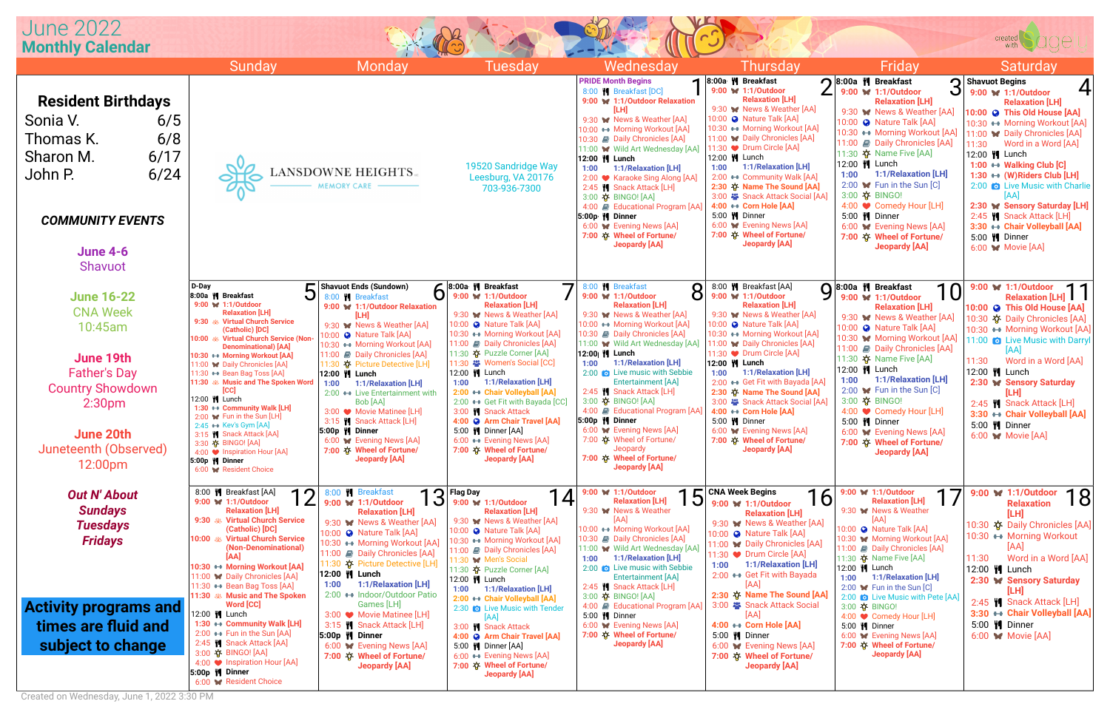

|                         | <b>Thursday</b> |  |                                                               | Friday        |  |                                                                         | <b>Saturday</b> |  |                                                       |
|-------------------------|-----------------|--|---------------------------------------------------------------|---------------|--|-------------------------------------------------------------------------|-----------------|--|-------------------------------------------------------|
| $\overline{\mathbb{1}}$ |                 |  | 8:00a M Breakfast                                             |               |  | 8:00a M Breakfast                                                       |                 |  | <b>Shavuot Begins</b>                                 |
|                         |                 |  | 9:00 W 1:1/Outdoor                                            |               |  | З<br>9:00 W 1:1/Outdoor                                                 |                 |  | 9:00 W 1:1/Outdoor                                    |
| n                       |                 |  | <b>Relaxation [LH]</b><br>9:30 W News & Weather [AA]          |               |  | <b>Relaxation [LH]</b>                                                  |                 |  | <b>Relaxation [LH]</b>                                |
|                         |                 |  | 10:00 @ Nature Talk [AA]                                      |               |  | 9:30 W News & Weather [AA]                                              |                 |  | 10:00 @ This Old House [AA]                           |
|                         |                 |  | 10:30 ↔ Morning Workout [AA]                                  |               |  | 10:00 @ Nature Talk [AA]                                                |                 |  | 10:30 ← Morning Workout [AA]                          |
|                         |                 |  | 11:00 W Daily Chronicles [AA]                                 |               |  | 10:30 ← Morning Workout [AA]<br>11:00 <b>J</b> Daily Chronicles [AA]    |                 |  | 11:00 W Daily Chronicles [AA]                         |
| ۱A۱.                    |                 |  | 11:30 ♥ Drum Circle [AA]                                      |               |  | 11:30 $\circledR$ Name Five [AA]                                        | 11:30           |  | Word in a Word [AA]<br>12:00   Lunch                  |
|                         |                 |  | 12:00   Lunch                                                 |               |  | 12:00    Lunch                                                          |                 |  | 1:00 ↔ Walking Club [C]                               |
| A]                      | 1:00            |  | 1:1/Relaxation [LH]<br>2:00 ← Community Walk [AA]             | 1:00          |  | 1:1/Relaxation [LH]                                                     |                 |  | 1:30 ← (W)Riders Club [LH]                            |
|                         |                 |  | 2:30 $\lozenge$ Name The Sound [AA]                           |               |  | 2:00 $\bullet\bullet$ Fun in the Sun [C]                                |                 |  | 2:00 <b>b</b> Live Music with Charlie                 |
|                         |                 |  | 3:00 Snack Attack Social [AA]                                 |               |  | 3:00 $\hat{\varphi}$ BINGO!                                             |                 |  | [AA]                                                  |
| AA]                     |                 |  | 4:00 ↔ Corn Hole [AA]                                         |               |  | 4:00 ● Comedy Hour [LH]                                                 |                 |  | 2:30 W Sensory Saturday [LH]                          |
|                         |                 |  | 5:00 M Dinner                                                 |               |  | 5:00 W Dinner                                                           |                 |  | 2:45 <sup>4</sup> Snack Attack [LH]                   |
|                         |                 |  | 6:00 W Evening News [AA]<br>7:00 $\lozenge$ Wheel of Fortune/ |               |  | 6:00 W Evening News [AA]                                                |                 |  | 3:30 ← Chair Volleyball [AA]                          |
|                         |                 |  | <b>Jeopardy [AA]</b>                                          |               |  | 7:00 $\lozenge$ Wheel of Fortune/                                       |                 |  | 5:00 <b>/</b> Dinner                                  |
|                         |                 |  |                                                               |               |  | <b>Jeopardy [AA]</b>                                                    |                 |  | 6:00 W Movie [AA]                                     |
|                         |                 |  |                                                               |               |  |                                                                         |                 |  |                                                       |
|                         |                 |  |                                                               |               |  |                                                                         |                 |  |                                                       |
| 8                       |                 |  | 8:00 W Breakfast [AA]<br>Q<br>9:00 <b>M</b> 1:1/Outdoor       |               |  | 8:00a M Breakfast<br>10                                                 |                 |  | 9:00 <b>M</b> 1:1/Outdoor                             |
|                         |                 |  | <b>Relaxation [LH]</b>                                        |               |  | 9:00 W 1:1/Outdoor<br><b>Relaxation [LH]</b>                            |                 |  | <b>Relaxation [LH]</b><br>10:00 @ This Old House [AA] |
|                         |                 |  | 9:30 W News & Weather [AA]                                    |               |  | 9:30 W News & Weather [AA]                                              |                 |  | 10:30 $\hat{\varphi}$ Daily Chronicles [AA]           |
|                         |                 |  | 10:00 @ Nature Talk [AA]                                      |               |  | 10:00 @ Nature Talk [AA]                                                |                 |  | 10:30 ← Morning Workout [AA]                          |
|                         |                 |  | 10:30 ↔ Morning Workout [AA]                                  |               |  | 10:30 W Morning Workout [AA]                                            |                 |  | 11:00 <b>C</b> Live Music with Darryl                 |
| VA]                     |                 |  | 11:00 W Daily Chronicles [AA]<br>11:30 ● Drum Circle [AA]     |               |  | 11:00 <b>Daily Chronicles [AA]</b>                                      |                 |  | [AA]                                                  |
|                         |                 |  | 12:00   Lunch                                                 |               |  | 11:30 $\hat{\mathbf{Q}}$ Name Five [AA]                                 | 11:30           |  | Word in a Word [AA]                                   |
| è                       | 1:00            |  | 1:1/Relaxation [LH]                                           |               |  | 12:00    Lunch                                                          |                 |  | 12:00   Lunch                                         |
|                         |                 |  | 2:00 ← Get Fit with Bayada [AA]                               | 1:00          |  | 1:1/Relaxation [LH]                                                     |                 |  | 2:30 W Sensory Saturday                               |
|                         |                 |  | 2:30 $\lozenge$ Name The Sound [AA]                           |               |  | 2:00 $\sqrt{\phantom{a}}$ Fun in the Sun [C]                            |                 |  | [LH]                                                  |
| AAl                     |                 |  | 3:00 <sup>2</sup> Snack Attack Social [AA]                    |               |  | 3:00 章 BINGO!<br>4:00 ♥ Comedy Hour [LH]                                |                 |  | 2:45   Snack Attack [LH]                              |
|                         |                 |  | 4:00 ← Corn Hole [AA]<br>5:00 W Dinner                        |               |  | 5:00 <b>II</b> Dinner                                                   |                 |  | 3:30 ← Chair Volleyball [AA]                          |
|                         |                 |  | 6:00 W Evening News [AA]                                      |               |  | 6:00 W Evening News [AA]                                                |                 |  | 5:00 / Dinner                                         |
|                         |                 |  | 7:00 $\lozenge$ Wheel of Fortune/                             |               |  | 7:00 $\lozenge$ Wheel of Fortune/                                       |                 |  | 6:00 <b>M</b> Movie [AA]                              |
|                         |                 |  | Jeopardy [AA]                                                 |               |  | <b>Jeopardy [AA]</b>                                                    |                 |  |                                                       |
|                         |                 |  |                                                               |               |  |                                                                         |                 |  |                                                       |
|                         |                 |  |                                                               |               |  |                                                                         |                 |  |                                                       |
|                         |                 |  | <b>CNA Week Begins</b><br>16                                  |               |  | 9:00 W 1:1/Outdoor<br>17                                                |                 |  | 9:00 <b>W</b> 1:1/Outdoor<br>18                       |
|                         |                 |  | 9:00 W 1:1/Outdoor                                            |               |  | <b>Relaxation [LH]</b><br>9:30 W News & Weather                         |                 |  | <b>Relaxation</b>                                     |
|                         |                 |  | <b>Relaxation [LH]</b><br>9:30 W News & Weather [AA]          |               |  | [AA]                                                                    |                 |  | [LH]                                                  |
|                         |                 |  | 10:00 @ Nature Talk [AA]                                      |               |  | 10:00 @ Nature Talk [AA]                                                |                 |  | 10:30 $\hat{\mathbf{Q}}$ Daily Chronicles [AA]        |
|                         |                 |  | 11:00 W Daily Chronicles [AA]                                 |               |  | 10:30 W Morning Workout [AA]                                            |                 |  | 10:30 ← Morning Workout                               |
| ۱A)                     |                 |  | 11:30 ♥ Drum Circle [AA]                                      |               |  | 11:00 <b>J</b> Daily Chronicles [AA]<br>11:30 $\ddot{Q}$ Name Five [AA] | 11:30           |  | [AA]<br>Word in a Word [AA]                           |
| è                       | 1:00            |  | 1:1/Relaxation [LH]                                           | 12:00   Lunch |  |                                                                         |                 |  | 12:00    Lunch                                        |
|                         |                 |  | 2:00 ← Get Fit with Bayada                                    | 1:00          |  | 1:1/Relaxation [LH]                                                     |                 |  |                                                       |
|                         |                 |  | [AA]                                                          |               |  | 2:00 $\bullet\bullet$ Fun in the Sun [C]                                |                 |  | 2:30 W Sensory Saturday<br>[LH]                       |
|                         |                 |  | 2:30 $\circledcirc$ Name The Sound [AA]                       |               |  | 2:00 <b>O</b> Live Music with Pete [AA]                                 |                 |  | 2:45   Snack Attack [LH]                              |
| AA]                     |                 |  | 3:00 <sup>2</sup> Snack Attack Social                         |               |  | 3:00 $\phi$ BINGO!                                                      |                 |  | 3:30 ← Chair Volleyball [AA]                          |
|                         |                 |  | [AA]<br>4:00 ↔ Corn Hole [AA]                                 |               |  | 4:00 ● Comedy Hour [LH]                                                 |                 |  | 5:00 <b>II</b> Dinner                                 |
|                         |                 |  | 5:00 <b>/ Dinner</b>                                          |               |  | 5:00 M Dinner<br>6:00 W Evening News [AA]                               |                 |  | 6:00 <b>M</b> Movie [AA]                              |
|                         |                 |  | 6:00 W Evening News [AA]                                      |               |  | 7:00 $\varphi$ Wheel of Fortune/                                        |                 |  |                                                       |
|                         |                 |  | 7:00 $\hat{\varphi}$ Wheel of Fortune/                        |               |  | Jeopardy [AA]                                                           |                 |  |                                                       |
|                         |                 |  | <b>Jeopardy [AA]</b>                                          |               |  |                                                                         |                 |  |                                                       |
|                         |                 |  |                                                               |               |  |                                                                         |                 |  |                                                       |